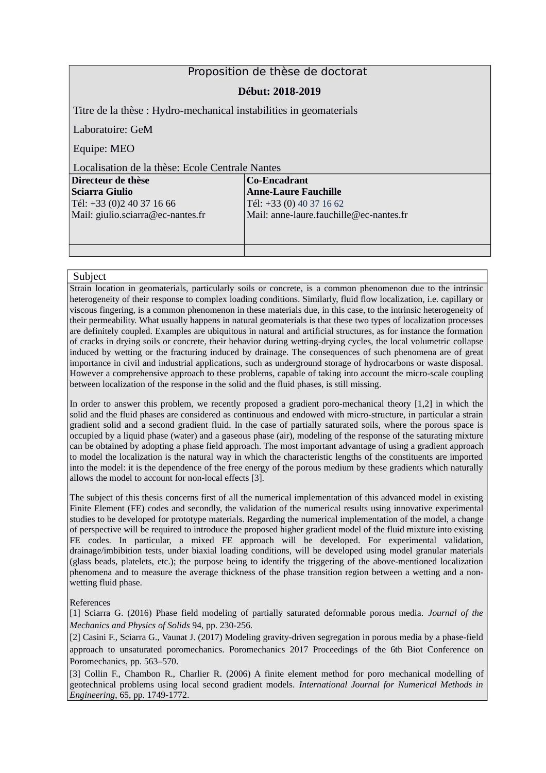## Proposition de thèse de doctorat

### **Début: 2018-2019**

Titre de la thèse : Hydro-mechanical instabilities in geomaterials

Laboratoire: GeM

Equipe: MEO

Localisation de la thèse: Ecole Centrale Nantes

| Directeur de thèse                | Co-Encadrant                            |
|-----------------------------------|-----------------------------------------|
| Sciarra Giulio                    | <b>Anne-Laure Fauchille</b>             |
| Tél: +33 (0)2 40 37 16 66         | $Tél: +33(0) 40 37 16 62$               |
| Mail: giulio.sciarra@ec-nantes.fr | Mail: anne-laure.fauchille@ec-nantes.fr |
|                                   |                                         |
|                                   |                                         |
|                                   |                                         |

#### Subject

Strain location in geomaterials, particularly soils or concrete, is a common phenomenon due to the intrinsic heterogeneity of their response to complex loading conditions. Similarly, fluid flow localization, i.e. capillary or viscous fingering, is a common phenomenon in these materials due, in this case, to the intrinsic heterogeneity of their permeability. What usually happens in natural geomaterials is that these two types of localization processes are definitely coupled. Examples are ubiquitous in natural and artificial structures, as for instance the formation of cracks in drying soils or concrete, their behavior during wetting-drying cycles, the local volumetric collapse induced by wetting or the fracturing induced by drainage. The consequences of such phenomena are of great importance in civil and industrial applications, such as underground storage of hydrocarbons or waste disposal. However a comprehensive approach to these problems, capable of taking into account the micro-scale coupling between localization of the response in the solid and the fluid phases, is still missing.

In order to answer this problem, we recently proposed a gradient poro-mechanical theory [1,2] in which the solid and the fluid phases are considered as continuous and endowed with micro-structure, in particular a strain gradient solid and a second gradient fluid. In the case of partially saturated soils, where the porous space is occupied by a liquid phase (water) and a gaseous phase (air), modeling of the response of the saturating mixture can be obtained by adopting a phase field approach. The most important advantage of using a gradient approach to model the localization is the natural way in which the characteristic lengths of the constituents are imported into the model: it is the dependence of the free energy of the porous medium by these gradients which naturally allows the model to account for non-local effects [3].

The subject of this thesis concerns first of all the numerical implementation of this advanced model in existing Finite Element (FE) codes and secondly, the validation of the numerical results using innovative experimental studies to be developed for prototype materials. Regarding the numerical implementation of the model, a change of perspective will be required to introduce the proposed higher gradient model of the fluid mixture into existing FE codes. In particular, a mixed FE approach will be developed. For experimental validation, drainage/imbibition tests, under biaxial loading conditions, will be developed using model granular materials (glass beads, platelets, etc.); the purpose being to identify the triggering of the above-mentioned localization phenomena and to measure the average thickness of the phase transition region between a wetting and a nonwetting fluid phase.

#### References

[1] Sciarra G. (2016) Phase field modeling of partially saturated deformable porous media. *Journal of the Mechanics and Physics of Solids* 94, pp. 230-256.

[2] Casini F., Sciarra G., Vaunat J. (2017) Modeling gravity-driven segregation in porous media by a phase-field approach to unsaturated poromechanics. Poromechanics 2017 Proceedings of the 6th Biot Conference on Poromechanics, pp. 563–570.

[3] Collin F., Chambon R., Charlier R. (2006) A finite element method for poro mechanical modelling of geotechnical problems using local second gradient models. *International Journal for Numerical Methods in Engineering*, 65, pp. 1749-1772.